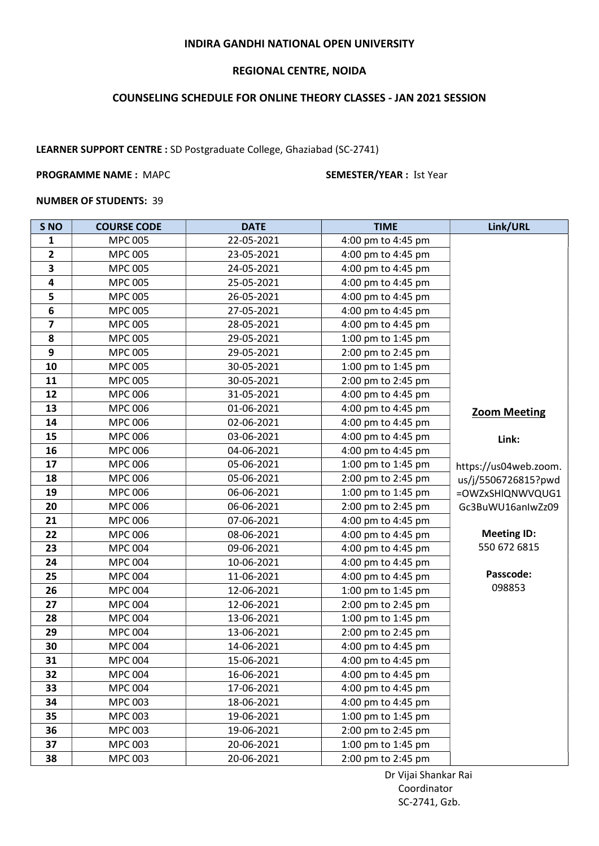## INDIRA GANDHI NATIONAL OPEN UNIVERSITY

# REGIONAL CENTRE, NOIDA

# COUNSELING SCHEDULE FOR ONLINE THEORY CLASSES - JAN 2021 SESSION

LEARNER SUPPORT CENTRE : SD Postgraduate College, Ghaziabad (SC-2741)

### PROGRAMME NAME : MAPC SEMESTER/YEAR : Ist Year

### NUMBER OF STUDENTS: 39

| S <sub>NO</sub>         | <b>COURSE CODE</b> | <b>DATE</b> | <b>TIME</b>        | Link/URL              |
|-------------------------|--------------------|-------------|--------------------|-----------------------|
| 1                       | <b>MPC 005</b>     | 22-05-2021  | 4:00 pm to 4:45 pm |                       |
| $\overline{2}$          | <b>MPC 005</b>     | 23-05-2021  | 4:00 pm to 4:45 pm |                       |
| 3                       | <b>MPC 005</b>     | 24-05-2021  | 4:00 pm to 4:45 pm |                       |
| $\overline{\mathbf{4}}$ | <b>MPC 005</b>     | 25-05-2021  | 4:00 pm to 4:45 pm |                       |
| 5                       | <b>MPC 005</b>     | 26-05-2021  | 4:00 pm to 4:45 pm |                       |
| 6                       | <b>MPC 005</b>     | 27-05-2021  | 4:00 pm to 4:45 pm |                       |
| $\overline{\mathbf{z}}$ | <b>MPC 005</b>     | 28-05-2021  | 4:00 pm to 4:45 pm |                       |
| 8                       | <b>MPC 005</b>     | 29-05-2021  | 1:00 pm to 1:45 pm |                       |
| 9                       | <b>MPC 005</b>     | 29-05-2021  | 2:00 pm to 2:45 pm |                       |
| 10                      | <b>MPC 005</b>     | 30-05-2021  | 1:00 pm to 1:45 pm |                       |
| 11                      | <b>MPC 005</b>     | 30-05-2021  | 2:00 pm to 2:45 pm |                       |
| 12                      | <b>MPC 006</b>     | 31-05-2021  | 4:00 pm to 4:45 pm |                       |
| 13                      | <b>MPC 006</b>     | 01-06-2021  | 4:00 pm to 4:45 pm | <b>Zoom Meeting</b>   |
| 14                      | <b>MPC 006</b>     | 02-06-2021  | 4:00 pm to 4:45 pm |                       |
| 15                      | <b>MPC 006</b>     | 03-06-2021  | 4:00 pm to 4:45 pm | Link:                 |
| 16                      | <b>MPC 006</b>     | 04-06-2021  | 4:00 pm to 4:45 pm |                       |
| 17                      | <b>MPC 006</b>     | 05-06-2021  | 1:00 pm to 1:45 pm | https://us04web.zoom. |
| 18                      | <b>MPC 006</b>     | 05-06-2021  | 2:00 pm to 2:45 pm | us/j/5506726815?pwd   |
| 19                      | <b>MPC 006</b>     | 06-06-2021  | 1:00 pm to 1:45 pm | =OWZxSHIQNWVQUG1      |
| 20                      | <b>MPC 006</b>     | 06-06-2021  | 2:00 pm to 2:45 pm | Gc3BuWU16anIwZz09     |
| 21                      | <b>MPC 006</b>     | 07-06-2021  | 4:00 pm to 4:45 pm |                       |
| 22                      | <b>MPC 006</b>     | 08-06-2021  | 4:00 pm to 4:45 pm | <b>Meeting ID:</b>    |
| 23                      | <b>MPC 004</b>     | 09-06-2021  | 4:00 pm to 4:45 pm | 550 672 6815          |
| 24                      | <b>MPC 004</b>     | 10-06-2021  | 4:00 pm to 4:45 pm |                       |
| 25                      | <b>MPC 004</b>     | 11-06-2021  | 4:00 pm to 4:45 pm | Passcode:             |
| 26                      | <b>MPC 004</b>     | 12-06-2021  | 1:00 pm to 1:45 pm | 098853                |
| 27                      | <b>MPC 004</b>     | 12-06-2021  | 2:00 pm to 2:45 pm |                       |
| 28                      | <b>MPC 004</b>     | 13-06-2021  | 1:00 pm to 1:45 pm |                       |
| 29                      | <b>MPC 004</b>     | 13-06-2021  | 2:00 pm to 2:45 pm |                       |
| 30                      | <b>MPC 004</b>     | 14-06-2021  | 4:00 pm to 4:45 pm |                       |
| 31                      | <b>MPC 004</b>     | 15-06-2021  | 4:00 pm to 4:45 pm |                       |
| 32                      | <b>MPC 004</b>     | 16-06-2021  | 4:00 pm to 4:45 pm |                       |
| 33                      | <b>MPC 004</b>     | 17-06-2021  | 4:00 pm to 4:45 pm |                       |
| 34                      | <b>MPC 003</b>     | 18-06-2021  | 4:00 pm to 4:45 pm |                       |
| 35                      | <b>MPC 003</b>     | 19-06-2021  | 1:00 pm to 1:45 pm |                       |
| 36                      | <b>MPC 003</b>     | 19-06-2021  | 2:00 pm to 2:45 pm |                       |
| 37                      | <b>MPC 003</b>     | 20-06-2021  | 1:00 pm to 1:45 pm |                       |
| 38                      | <b>MPC 003</b>     | 20-06-2021  | 2:00 pm to 2:45 pm |                       |

 Dr Vijai Shankar Rai Coordinator SC-2741, Gzb.